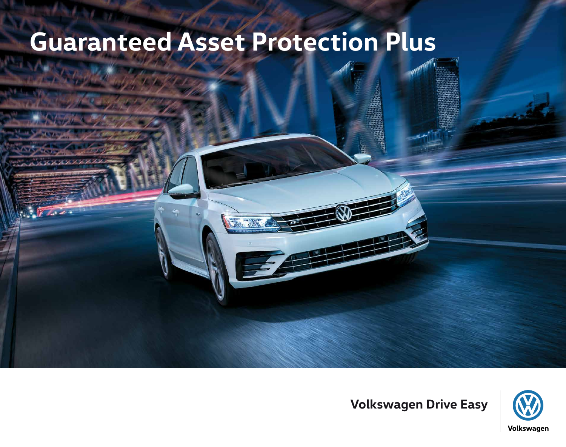# **Guaranteed Asset Protection Plus**



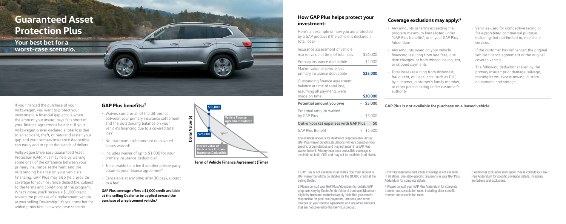If you financed the purchase of your Volkswagen, you want to protect your investment. A financial gap occurs when the amount your insurer pays falls short of your finance agreement balance. If your Volkswagen is ever declared a total loss due to an accident, theft, or natural disaster, your gap and your primary insurance deductible can easily add to up to thousands of dollars.

• Waives some or all of the difference between your primary insurance settlement and the outstanding balance on your vehicle's financing due to a covered total  $\log s^2$ 

 $\Rightarrow$ 

- No maximum dollar amount on covered losses waived<sup>2</sup>
- Includes waiver of up to \$1,000 for your primary insurance deductible<sup>3</sup>
- Transferable for a fee if another private party assumes your finance agreement<sup>4</sup>
- Cancelable at any time; after 30 days, subject to a fee<sup>4</sup>

Volkswagen Drive Easy Guaranteed Asset Protection (GAP) Plus may help by waiving some or all of the difference between your primary insurance settlement and the outstanding balance on your vehicle's financing. GAP Plus may also help provide coverage for your insurance deductible, subject to the terms and conditions of the program. What's more, you'll receive a \$1,000 credit toward the purchase of a replacement vehicle at your selling Dealership.<sup>1</sup> It's your best bet for added protection in a worst-case scenario.

1 GAP Plus is not available in all states. You must receive GAP waiver benefit to be eligible for the \$1,000 credit at the selling Dealer.

#### **GAP Plus benefits:2**

Here's an example of how you are protected by a GAP product if the vehicle is declared a total loss:<sup>2</sup>

**GAP Plus coverage offers a \$1,000 credit available at the selling Dealer to be applied toward the purchase of a replacement vehicle.1**

**Term of Vehicle Finance Agreement (Time)**

The example above is for illustrative purposes only. Actual GAP Plus waiver benefit calculations will vary based on yo specific circumstances and may not result in a GAP Plus waiver benefit. Primary insurance deductible coverage is available up to \$1,000, and may not be available in all states



2 Please consult your GAP Plus Addendum for details. GAP programs vary by Dealer/lender/state of purchase. Maximi eligibility limits and exclusions apply. Note that you remain responsible for past-due payments, late fees, and other charges on your finance agreement, and any other amounts that are not covered by the GAP Plus product.

#### **How GAP Plus helps protect your investment:**

| Insurance assessment of vehicle<br>market value at time of total loss                                         | \$26,000    |
|---------------------------------------------------------------------------------------------------------------|-------------|
| Primary insurance deductible                                                                                  | \$1,000     |
| Market value of vehicle less<br>primary insurance deductible                                                  | \$25,000    |
| Outstanding finance agreement<br>balance at time of total loss,<br>assuming all payments were<br>made on time | \$30,000    |
| Potential amount you owe                                                                                      | $=$ \$5,000 |
| Potential amount waived<br>by GAP Plus                                                                        | $-$ \$5,000 |
| <b>Out-of-pocket expenses with GAP Plus</b>                                                                   | \$0         |

GAP Plus Benefit  $+$  \$1,00

| Coverage exclusions may apply: <sup>5</sup>                                                                                                                                                                                                |                                                                                                                                                                                                                                             |
|--------------------------------------------------------------------------------------------------------------------------------------------------------------------------------------------------------------------------------------------|---------------------------------------------------------------------------------------------------------------------------------------------------------------------------------------------------------------------------------------------|
| · Any amounts or terms exceeding the<br>program maximum limits listed under<br>"GAP Plus benefits", or in your GAP Plus<br>Addendum                                                                                                        | · Vehicles used for competitive racing or<br>for a prohibited commercial purpose,<br>including, but not limited to, ride share<br>services                                                                                                  |
| · Any amounts owed on your vehicle<br>financing resulting from late fees, due<br>date changes, or from missed, delinquent,<br>or skipped payments<br>· Total losses resulting from dishonest,<br>fraudulent, or illegal acts (such as DUI) | · If the customer has refinanced the original<br>vehicle finance agreement or the original<br>covered vehicle<br>· The following deductions taken by the<br>primary insurer: prior damage, salvage,<br>missing items, excess towing, custom |
| by customer, customer's family member,<br>or other person acting under customer's<br>authority                                                                                                                                             | equipment, and storage                                                                                                                                                                                                                      |
|                                                                                                                                                                                                                                            |                                                                                                                                                                                                                                             |
| GAP Plus is not available for purchase on a leased vehicle.                                                                                                                                                                                |                                                                                                                                                                                                                                             |
|                                                                                                                                                                                                                                            |                                                                                                                                                                                                                                             |
| 3 Primary insurance deductible coverage is not available<br>in all states. See state-specific provisions in your GAP Plus<br>Addendum for complete details.                                                                                | 5 Additional exclusions may apply. Please consult your GAP<br>Plus Addendum for specific coverage details, including<br>limitations and exclusions.                                                                                         |
| 4 Please consult your GAP Plus Addendum for complete<br>transfer and cancelation rules, including state-specific<br>transfer and cancelation rules.                                                                                        |                                                                                                                                                                                                                                             |

### **Guaranteed Asset Protection Plus**

**Your best bet for a worst-case scenario.**